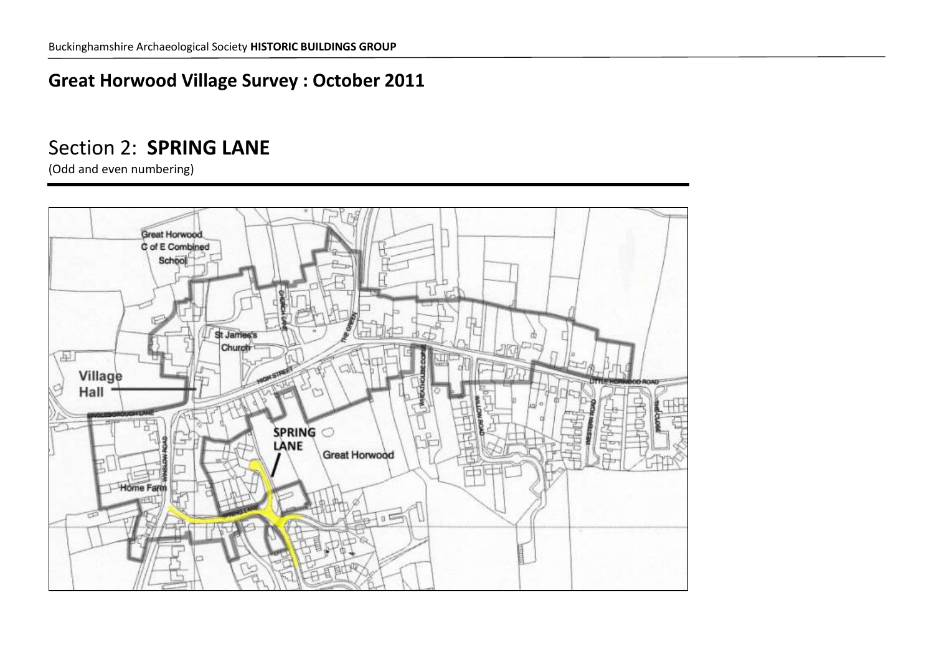#### **Great Horwood Village Survey : October 2011**

#### Section 2: **SPRING LANE**

(Odd and even numbering)

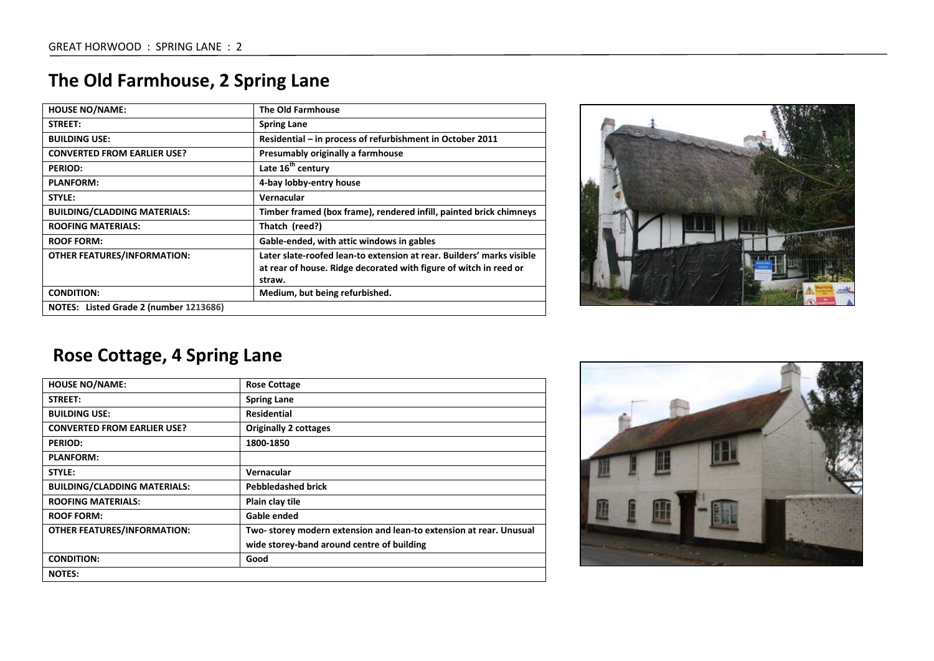| <b>HOUSE NO/NAME:</b>                  | <b>The Old Farmhouse</b>                                                                                                                             |
|----------------------------------------|------------------------------------------------------------------------------------------------------------------------------------------------------|
| STREET:                                | <b>Spring Lane</b>                                                                                                                                   |
| <b>BUILDING USE:</b>                   | Residential – in process of refurbishment in October 2011                                                                                            |
| <b>CONVERTED FROM EARLIER USE?</b>     | Presumably originally a farmhouse                                                                                                                    |
| <b>PERIOD:</b>                         | Late 16 <sup>th</sup> century                                                                                                                        |
| <b>PLANFORM:</b>                       | 4-bay lobby-entry house                                                                                                                              |
| STYLE:                                 | Vernacular                                                                                                                                           |
| <b>BUILDING/CLADDING MATERIALS:</b>    | Timber framed (box frame), rendered infill, painted brick chimneys                                                                                   |
| <b>ROOFING MATERIALS:</b>              | Thatch (reed?)                                                                                                                                       |
| <b>ROOF FORM:</b>                      | Gable-ended, with attic windows in gables                                                                                                            |
| <b>OTHER FEATURES/INFORMATION:</b>     | Later slate-roofed lean-to extension at rear. Builders' marks visible<br>at rear of house. Ridge decorated with figure of witch in reed or<br>straw. |
| <b>CONDITION:</b>                      | Medium, but being refurbished.                                                                                                                       |
| NOTES: Listed Grade 2 (number 1213686) |                                                                                                                                                      |

### **The Old Farmhouse, 2 Spring Lane**



### **Rose Cottage, 4 Spring Lane**

| <b>HOUSE NO/NAME:</b>               | <b>Rose Cottage</b>                                                |
|-------------------------------------|--------------------------------------------------------------------|
|                                     |                                                                    |
| STREET:                             | <b>Spring Lane</b>                                                 |
| <b>BUILDING USE:</b>                | <b>Residential</b>                                                 |
| <b>CONVERTED FROM EARLIER USE?</b>  | <b>Originally 2 cottages</b>                                       |
| <b>PERIOD:</b>                      | 1800-1850                                                          |
| <b>PLANFORM:</b>                    |                                                                    |
| STYLE:                              | Vernacular                                                         |
| <b>BUILDING/CLADDING MATERIALS:</b> | <b>Pebbledashed brick</b>                                          |
| <b>ROOFING MATERIALS:</b>           | Plain clay tile                                                    |
| <b>ROOF FORM:</b>                   | Gable ended                                                        |
| <b>OTHER FEATURES/INFORMATION:</b>  | Two-storey modern extension and lean-to extension at rear. Unusual |
|                                     | wide storey-band around centre of building                         |
| <b>CONDITION:</b>                   | Good                                                               |
| <b>NOTES:</b>                       |                                                                    |

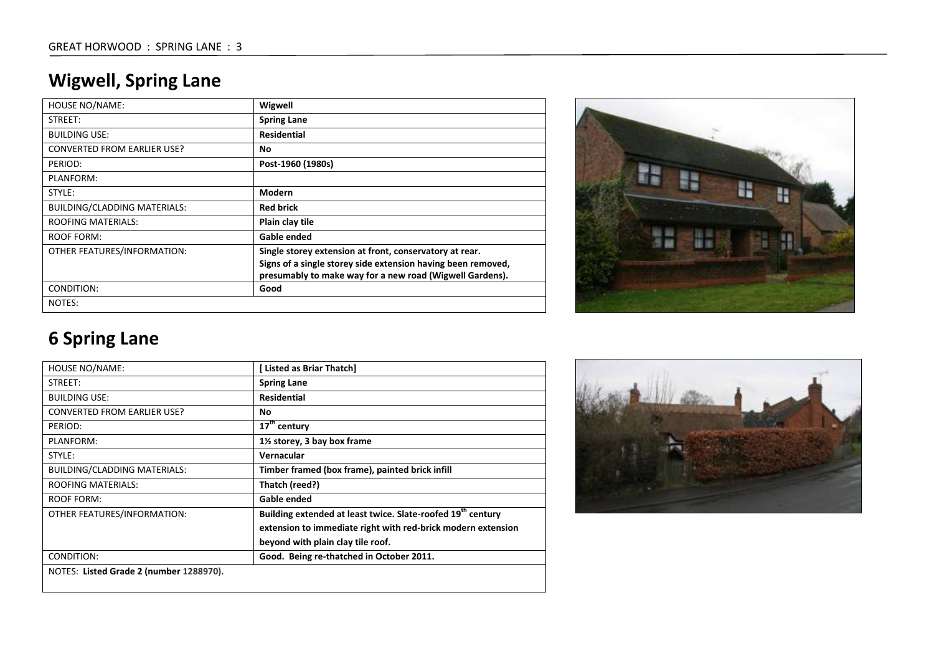## **Wigwell, Spring Lane**

| <b>HOUSE NO/NAME:</b>               | Wigwell                                                                                                                                                                             |
|-------------------------------------|-------------------------------------------------------------------------------------------------------------------------------------------------------------------------------------|
| STREET:                             | <b>Spring Lane</b>                                                                                                                                                                  |
| <b>BUILDING USE:</b>                | <b>Residential</b>                                                                                                                                                                  |
| <b>CONVERTED FROM EARLIER USE?</b>  | No                                                                                                                                                                                  |
| PERIOD:                             | Post-1960 (1980s)                                                                                                                                                                   |
| PLANFORM:                           |                                                                                                                                                                                     |
| STYLE:                              | Modern                                                                                                                                                                              |
| <b>BUILDING/CLADDING MATERIALS:</b> | <b>Red brick</b>                                                                                                                                                                    |
| <b>ROOFING MATERIALS:</b>           | Plain clay tile                                                                                                                                                                     |
| <b>ROOF FORM:</b>                   | Gable ended                                                                                                                                                                         |
| OTHER FEATURES/INFORMATION:         | Single storey extension at front, conservatory at rear.<br>Signs of a single storey side extension having been removed,<br>presumably to make way for a new road (Wigwell Gardens). |
| CONDITION:                          | Good                                                                                                                                                                                |
| NOTES:                              |                                                                                                                                                                                     |



# **6 Spring Lane**

| HOUSE NO/NAME:                      | [ Listed as Briar Thatch]                                               |
|-------------------------------------|-------------------------------------------------------------------------|
| STREET:                             | <b>Spring Lane</b>                                                      |
| <b>BUILDING USE:</b>                | <b>Residential</b>                                                      |
| <b>CONVERTED FROM EARLIER USE?</b>  | No                                                                      |
| PERIOD:                             | $17th$ century                                                          |
| PLANFORM:                           | 1½ storey, 3 bay box frame                                              |
| STYLE:                              | Vernacular                                                              |
| <b>BUILDING/CLADDING MATERIALS:</b> | Timber framed (box frame), painted brick infill                         |
| <b>ROOFING MATERIALS:</b>           | Thatch (reed?)                                                          |
| <b>ROOF FORM:</b>                   | Gable ended                                                             |
| OTHER FEATURES/INFORMATION:         | Building extended at least twice. Slate-roofed 19 <sup>th</sup> century |
|                                     | extension to immediate right with red-brick modern extension            |
|                                     | beyond with plain clay tile roof.                                       |
| CONDITION:                          | Good. Being re-thatched in October 2011.                                |

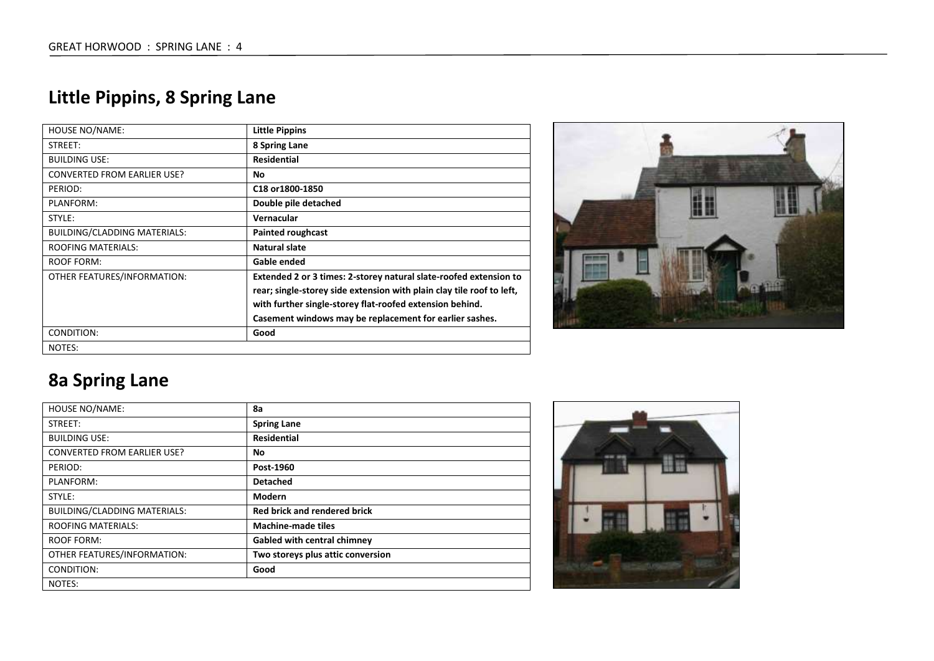## **Little Pippins, 8 Spring Lane**

| <b>HOUSE NO/NAME:</b>               | <b>Little Pippins</b>                                                 |
|-------------------------------------|-----------------------------------------------------------------------|
| STREET:                             | 8 Spring Lane                                                         |
| <b>BUILDING USE:</b>                | <b>Residential</b>                                                    |
| <b>CONVERTED FROM EARLIER USE?</b>  | No.                                                                   |
| PERIOD:                             | C18 or 1800-1850                                                      |
| PLANFORM:                           | Double pile detached                                                  |
| STYLE:                              | Vernacular                                                            |
| <b>BUILDING/CLADDING MATERIALS:</b> | <b>Painted roughcast</b>                                              |
| <b>ROOFING MATERIALS:</b>           | Natural slate                                                         |
| ROOF FORM:                          | Gable ended                                                           |
| OTHER FEATURES/INFORMATION:         | Extended 2 or 3 times: 2-storey natural slate-roofed extension to     |
|                                     | rear; single-storey side extension with plain clay tile roof to left, |
|                                     | with further single-storey flat-roofed extension behind.              |
|                                     | Casement windows may be replacement for earlier sashes.               |
| CONDITION:                          | Good                                                                  |
| NOTES:                              |                                                                       |



## **8a Spring Lane**

| <b>HOUSE NO/NAME:</b>               | 8a                                  |
|-------------------------------------|-------------------------------------|
| STREET:                             | <b>Spring Lane</b>                  |
| <b>BUILDING USE:</b>                | <b>Residential</b>                  |
| <b>CONVERTED FROM EARLIER USE?</b>  | No                                  |
| PERIOD:                             | Post-1960                           |
| PLANFORM:                           | <b>Detached</b>                     |
| STYLE:                              | Modern                              |
| <b>BUILDING/CLADDING MATERIALS:</b> | <b>Red brick and rendered brick</b> |
| <b>ROOFING MATERIALS:</b>           | <b>Machine-made tiles</b>           |
| <b>ROOF FORM:</b>                   | Gabled with central chimney         |
| OTHER FEATURES/INFORMATION:         | Two storeys plus attic conversion   |
| CONDITION:                          | Good                                |
| NOTES:                              |                                     |

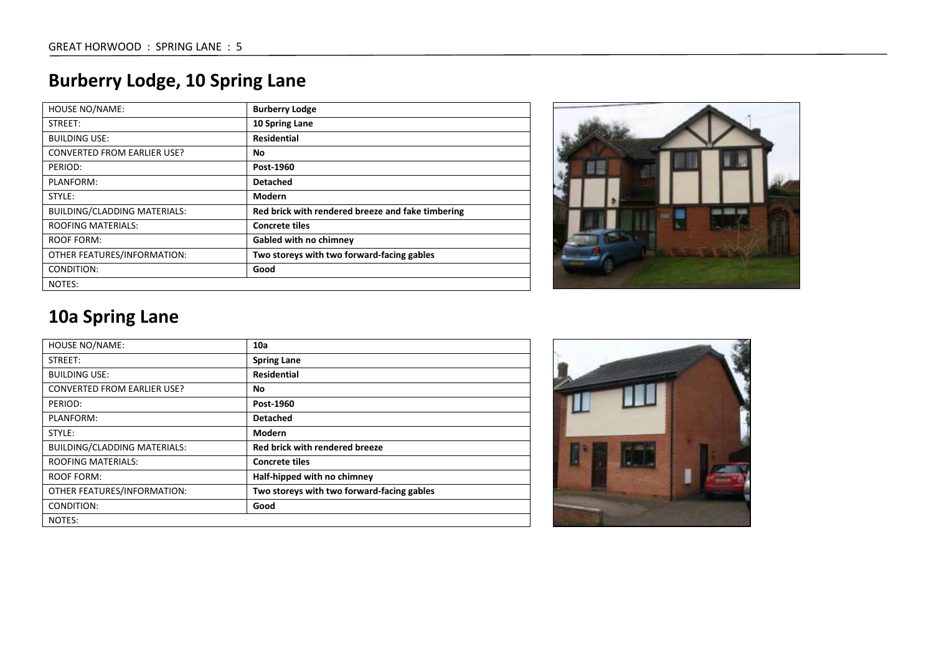## **Burberry Lodge, 10 Spring Lane**

| <b>HOUSE NO/NAME:</b>              | <b>Burberry Lodge</b>                             |
|------------------------------------|---------------------------------------------------|
| STREET:                            | 10 Spring Lane                                    |
| <b>BUILDING USE:</b>               | <b>Residential</b>                                |
| <b>CONVERTED FROM EARLIER USE?</b> | No                                                |
| PERIOD:                            | Post-1960                                         |
| PLANFORM:                          | <b>Detached</b>                                   |
| STYLE:                             | Modern                                            |
| BUILDING/CLADDING MATERIALS:       | Red brick with rendered breeze and fake timbering |
| <b>ROOFING MATERIALS:</b>          | <b>Concrete tiles</b>                             |
| <b>ROOF FORM:</b>                  | <b>Gabled with no chimney</b>                     |
| OTHER FEATURES/INFORMATION:        | Two storeys with two forward-facing gables        |
| CONDITION:                         | Good                                              |
| NOTES:                             |                                                   |



### **10a Spring Lane**

| <b>HOUSE NO/NAME:</b>               | 10a                                        |
|-------------------------------------|--------------------------------------------|
| STREET:                             | <b>Spring Lane</b>                         |
| <b>BUILDING USE:</b>                | <b>Residential</b>                         |
| <b>CONVERTED FROM EARLIER USE?</b>  | No                                         |
| PERIOD:                             | Post-1960                                  |
| PLANFORM:                           | <b>Detached</b>                            |
| STYLE:                              | <b>Modern</b>                              |
| <b>BUILDING/CLADDING MATERIALS:</b> | Red brick with rendered breeze             |
| <b>ROOFING MATERIALS:</b>           | <b>Concrete tiles</b>                      |
| ROOF FORM:                          | Half-hipped with no chimney                |
| OTHER FEATURES/INFORMATION:         | Two storeys with two forward-facing gables |
| CONDITION:                          | Good                                       |
| NOTES:                              |                                            |

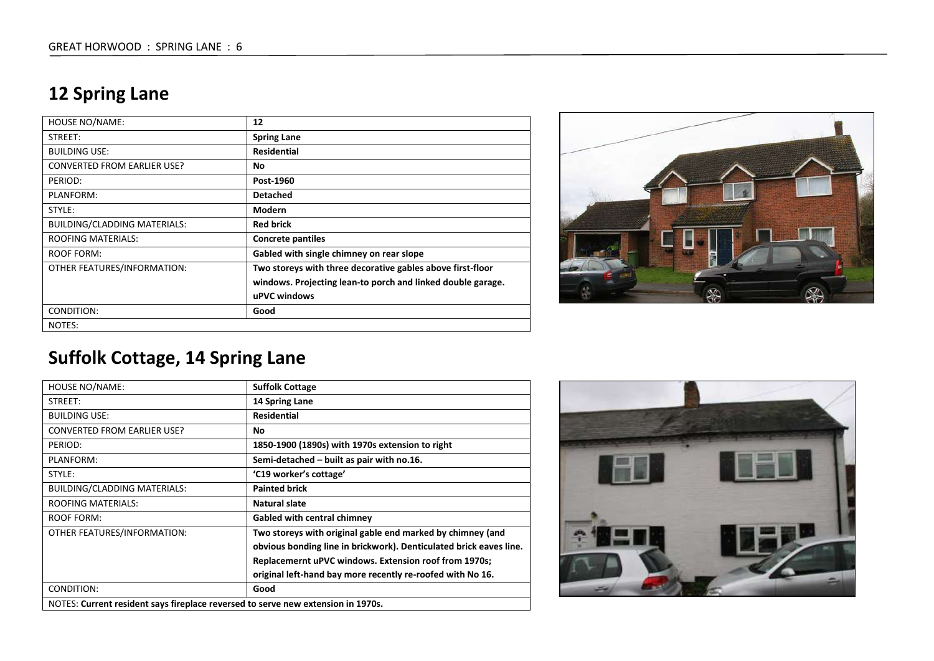#### **12 Spring Lane**

| <b>HOUSE NO/NAME:</b>              | 12                                                          |
|------------------------------------|-------------------------------------------------------------|
| STREET:                            | <b>Spring Lane</b>                                          |
| <b>BUILDING USE:</b>               | <b>Residential</b>                                          |
| <b>CONVERTED FROM EARLIER USE?</b> | No.                                                         |
| PERIOD:                            | Post-1960                                                   |
| PLANFORM:                          | <b>Detached</b>                                             |
| STYLE:                             | Modern                                                      |
| BUILDING/CLADDING MATERIALS:       | <b>Red brick</b>                                            |
| <b>ROOFING MATERIALS:</b>          | <b>Concrete pantiles</b>                                    |
| ROOF FORM:                         | Gabled with single chimney on rear slope                    |
| OTHER FEATURES/INFORMATION:        | Two storeys with three decorative gables above first-floor  |
|                                    | windows. Projecting lean-to porch and linked double garage. |
|                                    | uPVC windows                                                |
| CONDITION:                         | Good                                                        |
| NOTES:                             |                                                             |



### **Suffolk Cottage, 14 Spring Lane**

| <b>HOUSE NO/NAME:</b>                                                            | <b>Suffolk Cottage</b>                                             |
|----------------------------------------------------------------------------------|--------------------------------------------------------------------|
| STREET:                                                                          | 14 Spring Lane                                                     |
| <b>BUILDING USE:</b>                                                             | <b>Residential</b>                                                 |
| <b>CONVERTED FROM EARLIER USE?</b>                                               | No.                                                                |
| PERIOD:                                                                          | 1850-1900 (1890s) with 1970s extension to right                    |
| PLANFORM:                                                                        | Semi-detached – built as pair with no.16.                          |
| STYLE:                                                                           | 'C19 worker's cottage'                                             |
| <b>BUILDING/CLADDING MATERIALS:</b>                                              | <b>Painted brick</b>                                               |
| <b>ROOFING MATERIALS:</b>                                                        | Natural slate                                                      |
| <b>ROOF FORM:</b>                                                                | <b>Gabled with central chimney</b>                                 |
| OTHER FEATURES/INFORMATION:                                                      | Two storeys with original gable end marked by chimney (and         |
|                                                                                  | obvious bonding line in brickwork). Denticulated brick eaves line. |
|                                                                                  | Replacemernt uPVC windows. Extension roof from 1970s;              |
|                                                                                  | original left-hand bay more recently re-roofed with No 16.         |
| CONDITION:                                                                       | Good                                                               |
| NOTES: Current resident says fireplace reversed to serve new extension in 1970s. |                                                                    |

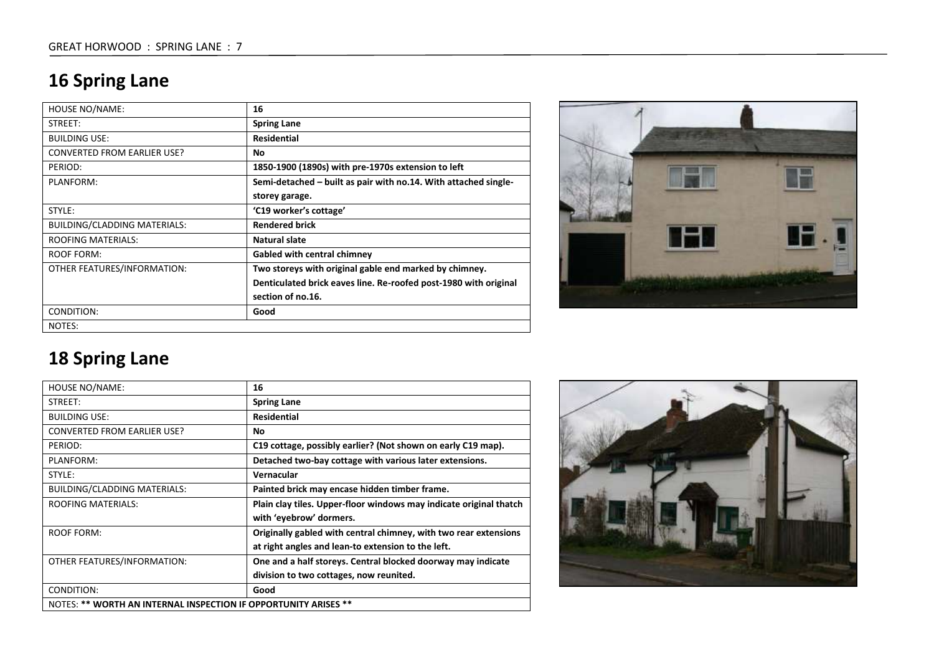## **16 Spring Lane**

| <b>HOUSE NO/NAME:</b>               | 16                                                               |
|-------------------------------------|------------------------------------------------------------------|
| STREET:                             | <b>Spring Lane</b>                                               |
| <b>BUILDING USE:</b>                | <b>Residential</b>                                               |
| <b>CONVERTED FROM EARLIER USE?</b>  | No.                                                              |
| PERIOD:                             | 1850-1900 (1890s) with pre-1970s extension to left               |
| PLANFORM:                           | Semi-detached – built as pair with no.14. With attached single-  |
|                                     | storey garage.                                                   |
| STYLE:                              | 'C19 worker's cottage'                                           |
| <b>BUILDING/CLADDING MATERIALS:</b> | <b>Rendered brick</b>                                            |
| <b>ROOFING MATERIALS:</b>           | Natural slate                                                    |
| ROOF FORM:                          | <b>Gabled with central chimney</b>                               |
| OTHER FEATURES/INFORMATION:         | Two storeys with original gable end marked by chimney.           |
|                                     | Denticulated brick eaves line. Re-roofed post-1980 with original |
|                                     | section of no.16.                                                |
| CONDITION:                          | Good                                                             |
| NOTES:                              |                                                                  |



## **18 Spring Lane**

| <b>HOUSE NO/NAME:</b>                                           | 16                                                                 |
|-----------------------------------------------------------------|--------------------------------------------------------------------|
| STREET:                                                         | <b>Spring Lane</b>                                                 |
| <b>BUILDING USE:</b>                                            | Residential                                                        |
| <b>CONVERTED FROM EARLIER USE?</b>                              | No                                                                 |
| PERIOD:                                                         | C19 cottage, possibly earlier? (Not shown on early C19 map).       |
| PLANFORM:                                                       | Detached two-bay cottage with various later extensions.            |
| STYLE:                                                          | Vernacular                                                         |
| <b>BUILDING/CLADDING MATERIALS:</b>                             | Painted brick may encase hidden timber frame.                      |
| <b>ROOFING MATERIALS:</b>                                       | Plain clay tiles. Upper-floor windows may indicate original thatch |
|                                                                 | with 'eyebrow' dormers.                                            |
| <b>ROOF FORM:</b>                                               | Originally gabled with central chimney, with two rear extensions   |
|                                                                 | at right angles and lean-to extension to the left.                 |
| OTHER FEATURES/INFORMATION:                                     | One and a half storeys. Central blocked doorway may indicate       |
|                                                                 | division to two cottages, now reunited.                            |
| CONDITION:                                                      | Good                                                               |
| NOTES: ** WORTH AN INTERNAL INSPECTION IF OPPORTUNITY ARISES ** |                                                                    |

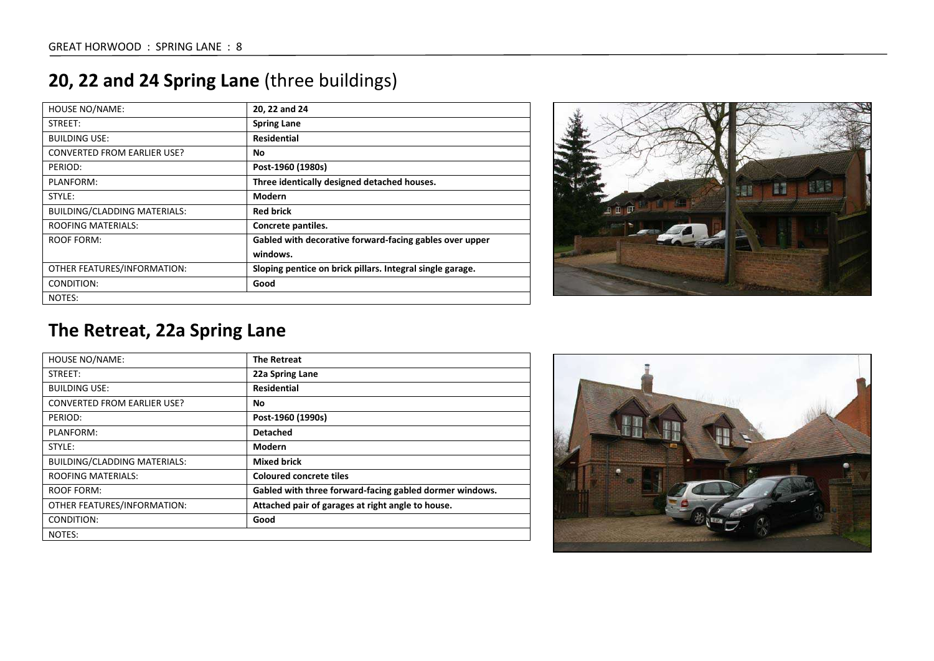| <b>HOUSE NO/NAME:</b>               | 20, 22 and 24                                             |
|-------------------------------------|-----------------------------------------------------------|
| STREET:                             | <b>Spring Lane</b>                                        |
| <b>BUILDING USE:</b>                | <b>Residential</b>                                        |
| <b>CONVERTED FROM EARLIER USE?</b>  | No                                                        |
| PERIOD:                             | Post-1960 (1980s)                                         |
| PLANFORM:                           | Three identically designed detached houses.               |
| STYLE:                              | <b>Modern</b>                                             |
| <b>BUILDING/CLADDING MATERIALS:</b> | <b>Red brick</b>                                          |
| <b>ROOFING MATERIALS:</b>           | Concrete pantiles.                                        |
| ROOF FORM:                          | Gabled with decorative forward-facing gables over upper   |
|                                     | windows.                                                  |
| OTHER FEATURES/INFORMATION:         | Sloping pentice on brick pillars. Integral single garage. |
| CONDITION:                          | Good                                                      |
| NOTES:                              |                                                           |

### **20, 22 and 24 Spring Lane** (three buildings)



#### **The Retreat, 22a Spring Lane**

| <b>HOUSE NO/NAME:</b>               | <b>The Retreat</b>                                      |
|-------------------------------------|---------------------------------------------------------|
| STREET:                             | 22a Spring Lane                                         |
| <b>BUILDING USE:</b>                | <b>Residential</b>                                      |
| <b>CONVERTED FROM EARLIER USE?</b>  | No                                                      |
| PERIOD:                             | Post-1960 (1990s)                                       |
| PLANFORM:                           | <b>Detached</b>                                         |
| STYLE:                              | <b>Modern</b>                                           |
| <b>BUILDING/CLADDING MATERIALS:</b> | <b>Mixed brick</b>                                      |
| <b>ROOFING MATERIALS:</b>           | <b>Coloured concrete tiles</b>                          |
| ROOF FORM:                          | Gabled with three forward-facing gabled dormer windows. |
| OTHER FEATURES/INFORMATION:         | Attached pair of garages at right angle to house.       |
| CONDITION:                          | Good                                                    |
| NOTES:                              |                                                         |

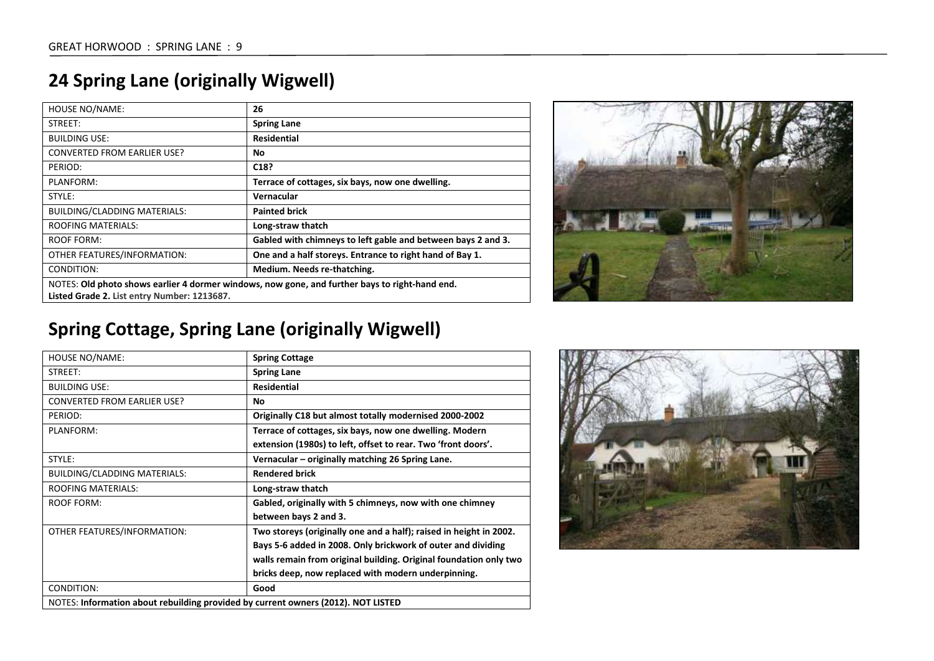|  |  | <b>24 Spring Lane (originally Wigwell)</b> |  |
|--|--|--------------------------------------------|--|
|--|--|--------------------------------------------|--|

| <b>HOUSE NO/NAME:</b>                                                                          | 26                                                           |
|------------------------------------------------------------------------------------------------|--------------------------------------------------------------|
| STREET:                                                                                        | <b>Spring Lane</b>                                           |
| BUILDING USE:                                                                                  | <b>Residential</b>                                           |
| <b>CONVERTED FROM EARLIER USE?</b>                                                             | No.                                                          |
| PERIOD:                                                                                        | C <sub>18</sub> ?                                            |
| PLANFORM:                                                                                      | Terrace of cottages, six bays, now one dwelling.             |
| STYLE:                                                                                         | Vernacular                                                   |
| <b>BUILDING/CLADDING MATERIALS:</b>                                                            | <b>Painted brick</b>                                         |
| <b>ROOFING MATERIALS:</b>                                                                      | Long-straw thatch                                            |
| ROOF FORM:                                                                                     | Gabled with chimneys to left gable and between bays 2 and 3. |
| OTHER FEATURES/INFORMATION:                                                                    | One and a half storeys. Entrance to right hand of Bay 1.     |
| CONDITION:                                                                                     | Medium. Needs re-thatching.                                  |
| NOTES: Old photo shows earlier 4 dormer windows, now gone, and further bays to right-hand end. |                                                              |
| Listed Grade 2. List entry Number: 1213687.                                                    |                                                              |



# **Spring Cottage, Spring Lane (originally Wigwell)**

| <b>HOUSE NO/NAME:</b>                                                             | <b>Spring Cottage</b>                                              |
|-----------------------------------------------------------------------------------|--------------------------------------------------------------------|
| STREET:                                                                           | <b>Spring Lane</b>                                                 |
| <b>BUILDING USE:</b>                                                              | <b>Residential</b>                                                 |
| <b>CONVERTED FROM EARLIER USE?</b>                                                | No.                                                                |
| PERIOD:                                                                           | Originally C18 but almost totally modernised 2000-2002             |
| PLANFORM:                                                                         | Terrace of cottages, six bays, now one dwelling. Modern            |
|                                                                                   | extension (1980s) to left, offset to rear. Two 'front doors'.      |
| STYLE:                                                                            | Vernacular – originally matching 26 Spring Lane.                   |
| <b>BUILDING/CLADDING MATERIALS:</b>                                               | <b>Rendered brick</b>                                              |
| <b>ROOFING MATERIALS:</b>                                                         | Long-straw thatch                                                  |
| <b>ROOF FORM:</b>                                                                 | Gabled, originally with 5 chimneys, now with one chimney           |
|                                                                                   | between bays 2 and 3.                                              |
| OTHER FEATURES/INFORMATION:                                                       | Two storeys (originally one and a half); raised in height in 2002. |
|                                                                                   | Bays 5-6 added in 2008. Only brickwork of outer and dividing       |
|                                                                                   | walls remain from original building. Original foundation only two  |
|                                                                                   | bricks deep, now replaced with modern underpinning.                |
| CONDITION:                                                                        | Good                                                               |
| NOTES: Information about rebuilding provided by current owners (2012). NOT LISTED |                                                                    |

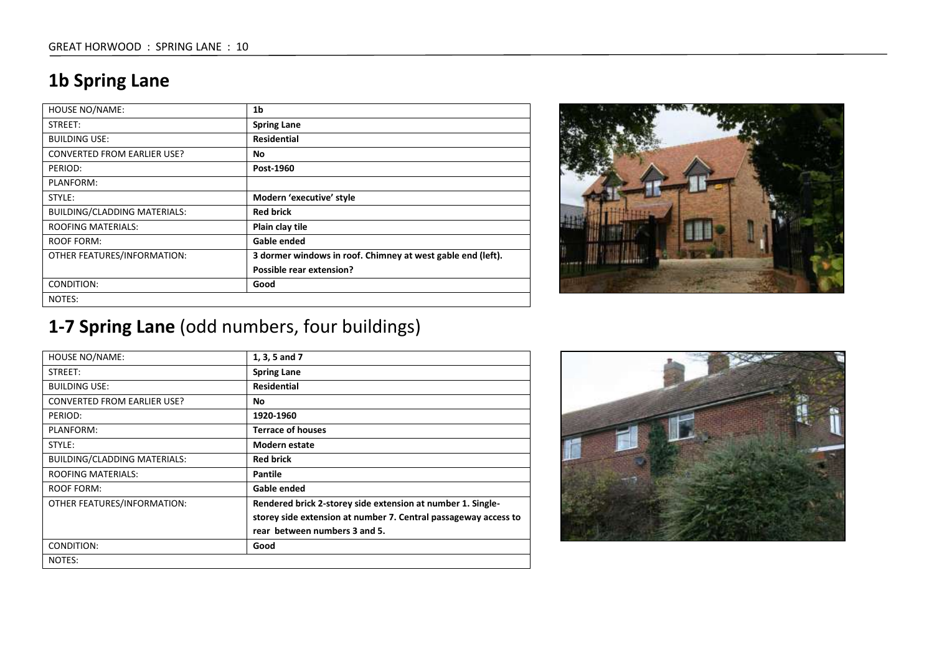#### **1b Spring Lane**

| <b>HOUSE NO/NAME:</b>              | 1 <sub>b</sub>                                              |
|------------------------------------|-------------------------------------------------------------|
| STREET:                            | <b>Spring Lane</b>                                          |
| <b>BUILDING USE:</b>               | <b>Residential</b>                                          |
| <b>CONVERTED FROM EARLIER USE?</b> | No                                                          |
| PERIOD:                            | Post-1960                                                   |
| PLANFORM:                          |                                                             |
| STYLE:                             | Modern 'executive' style                                    |
| BUILDING/CLADDING MATERIALS:       | <b>Red brick</b>                                            |
| <b>ROOFING MATERIALS:</b>          | Plain clay tile                                             |
| ROOF FORM:                         | Gable ended                                                 |
| OTHER FEATURES/INFORMATION:        | 3 dormer windows in roof. Chimney at west gable end (left). |
|                                    | Possible rear extension?                                    |
| CONDITION:                         | Good                                                        |
| NOTES:                             |                                                             |



## **1-7 Spring Lane** (odd numbers, four buildings)

| <b>HOUSE NO/NAME:</b>               | 1, 3, 5 and 7                                                   |
|-------------------------------------|-----------------------------------------------------------------|
| STREET:                             | <b>Spring Lane</b>                                              |
| <b>BUILDING USE:</b>                | <b>Residential</b>                                              |
| <b>CONVERTED FROM EARLIER USE?</b>  | No.                                                             |
| PERIOD:                             | 1920-1960                                                       |
| PLANFORM:                           | <b>Terrace of houses</b>                                        |
| STYLE:                              | Modern estate                                                   |
| <b>BUILDING/CLADDING MATERIALS:</b> | <b>Red brick</b>                                                |
| <b>ROOFING MATERIALS:</b>           | Pantile                                                         |
| <b>ROOF FORM:</b>                   | Gable ended                                                     |
| OTHER FEATURES/INFORMATION:         | Rendered brick 2-storey side extension at number 1. Single-     |
|                                     | storey side extension at number 7. Central passageway access to |
|                                     | rear between numbers 3 and 5.                                   |
| CONDITION:                          | Good                                                            |
| NOTES:                              |                                                                 |